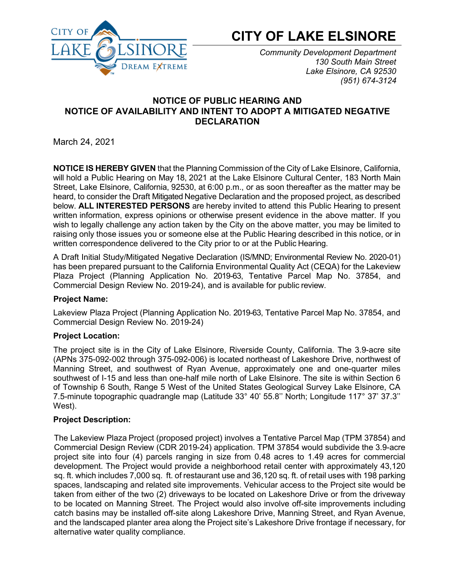

# **CITY OF LAKE ELSINORE**

*Community Development Department 130 South Main Street Lake Elsinore, CA 92530 (951) 674-3124*

# **NOTICE OF PUBLIC HEARING AND NOTICE OF AVAILABILITY AND INTENT TO ADOPT A MITIGATED NEGATIVE DECLARATION**

March 24, 2021

**NOTICE IS HEREBY GIVEN** that the Planning Commission of the City of Lake Elsinore, California, will hold a Public Hearing on May 18, 2021 at the Lake Elsinore Cultural Center, 183 North Main Street, Lake Elsinore, California, 92530, at 6:00 p.m., or as soon thereafter as the matter may be heard, to consider the Draft Mitigated Negative Declaration and the proposed project, as described below. **ALL INTERESTED PERSONS** are hereby invited to attend this Public Hearing to present written information, express opinions or otherwise present evidence in the above matter. If you wish to legally challenge any action taken by the City on the above matter, you may be limited to raising only those issues you or someone else at the Public Hearing described in this notice, or in written correspondence delivered to the City prior to or at the Public Hearing.

A Draft Initial Study/Mitigated Negative Declaration (IS/MND; Environmental Review No. 2020-01) has been prepared pursuant to the California Environmental Quality Act (CEQA) for the Lakeview Plaza Project (Planning Application No. 2019-63, Tentative Parcel Map No. 37854, and Commercial Design Review No. 2019-24), and is available for public review.

## **Project Name:**

Lakeview Plaza Project (Planning Application No. 2019-63, Tentative Parcel Map No. 37854, and Commercial Design Review No. 2019-24)

## **Project Location:**

The project site is in the City of Lake Elsinore, Riverside County, California. The 3.9-acre site (APNs 375-092-002 through 375-092-006) is located northeast of Lakeshore Drive, northwest of Manning Street, and southwest of Ryan Avenue, approximately one and one-quarter miles southwest of I-15 and less than one-half mile north of Lake Elsinore. The site is within Section 6 of Township 6 South, Range 5 West of the United States Geological Survey Lake Elsinore, CA 7.5-minute topographic quadrangle map (Latitude 33° 40' 55.8'' North; Longitude 117° 37' 37.3'' West).

## **Project Description:**

The Lakeview Plaza Project (proposed project) involves a Tentative Parcel Map (TPM 37854) and Commercial Design Review (CDR 2019-24) application. TPM 37854 would subdivide the 3.9-acre project site into four (4) parcels ranging in size from 0.48 acres to 1.49 acres for commercial development. The Project would provide a neighborhood retail center with approximately 43,120 sq. ft. which includes 7,000 sq. ft. of restaurant use and 36,120 sq. ft. of retail uses with 198 parking spaces, landscaping and related site improvements. Vehicular access to the Project site would be taken from either of the two (2) driveways to be located on Lakeshore Drive or from the driveway to be located on Manning Street. The Project would also involve off-site improvements including catch basins may be installed off-site along Lakeshore Drive, Manning Street, and Ryan Avenue, and the landscaped planter area along the Project site's Lakeshore Drive frontage if necessary, for alternative water quality compliance.